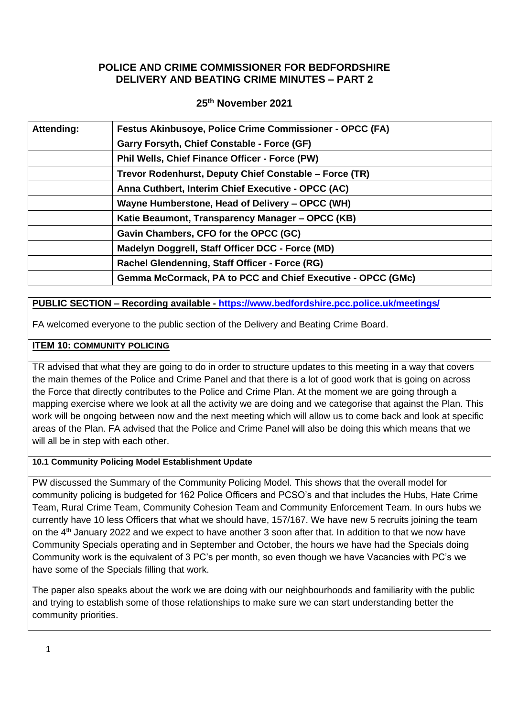# **POLICE AND CRIME COMMISSIONER FOR BEDFORDSHIRE DELIVERY AND BEATING CRIME MINUTES – PART 2**

## **25th November 2021**

| <b>Attending:</b> | Festus Akinbusoye, Police Crime Commissioner - OPCC (FA)    |
|-------------------|-------------------------------------------------------------|
|                   | Garry Forsyth, Chief Constable - Force (GF)                 |
|                   | Phil Wells, Chief Finance Officer - Force (PW)              |
|                   | Trevor Rodenhurst, Deputy Chief Constable - Force (TR)      |
|                   | Anna Cuthbert, Interim Chief Executive - OPCC (AC)          |
|                   | Wayne Humberstone, Head of Delivery – OPCC (WH)             |
|                   | Katie Beaumont, Transparency Manager – OPCC (KB)            |
|                   | Gavin Chambers, CFO for the OPCC (GC)                       |
|                   | Madelyn Doggrell, Staff Officer DCC - Force (MD)            |
|                   | Rachel Glendenning, Staff Officer - Force (RG)              |
|                   | Gemma McCormack, PA to PCC and Chief Executive - OPCC (GMc) |

# **PUBLIC SECTION – Recording available - <https://www.bedfordshire.pcc.police.uk/meetings/>**

FA welcomed everyone to the public section of the Delivery and Beating Crime Board.

# **ITEM 10: COMMUNITY POLICING**

TR advised that what they are going to do in order to structure updates to this meeting in a way that covers the main themes of the Police and Crime Panel and that there is a lot of good work that is going on across the Force that directly contributes to the Police and Crime Plan. At the moment we are going through a mapping exercise where we look at all the activity we are doing and we categorise that against the Plan. This work will be ongoing between now and the next meeting which will allow us to come back and look at specific areas of the Plan. FA advised that the Police and Crime Panel will also be doing this which means that we will all be in step with each other.

## **10.1 Community Policing Model Establishment Update**

PW discussed the Summary of the Community Policing Model. This shows that the overall model for community policing is budgeted for 162 Police Officers and PCSO's and that includes the Hubs, Hate Crime Team, Rural Crime Team, Community Cohesion Team and Community Enforcement Team. In ours hubs we currently have 10 less Officers that what we should have, 157/167. We have new 5 recruits joining the team on the 4th January 2022 and we expect to have another 3 soon after that. In addition to that we now have Community Specials operating and in September and October, the hours we have had the Specials doing Community work is the equivalent of 3 PC's per month, so even though we have Vacancies with PC's we have some of the Specials filling that work.

The paper also speaks about the work we are doing with our neighbourhoods and familiarity with the public and trying to establish some of those relationships to make sure we can start understanding better the community priorities.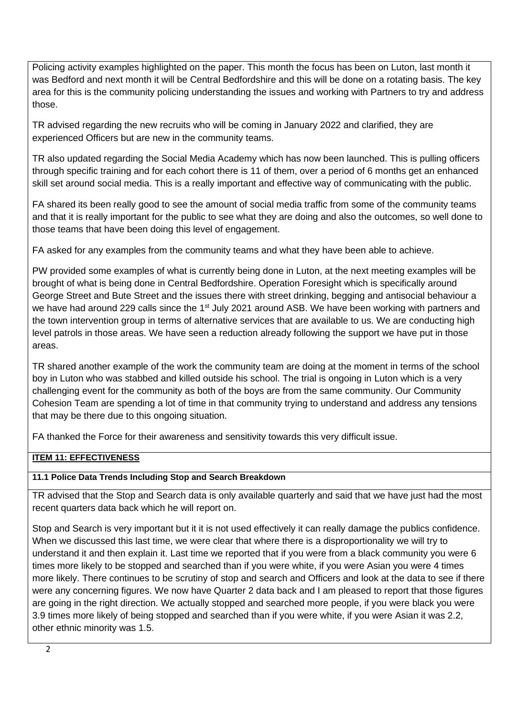Policing activity examples highlighted on the paper. This month the focus has been on Luton, last month it was Bedford and next month it will be Central Bedfordshire and this will be done on a rotating basis. The key area for this is the community policing understanding the issues and working with Partners to try and address those.

TR advised regarding the new recruits who will be coming in January 2022 and clarified, they are experienced Officers but are new in the community teams.

TR also updated regarding the Social Media Academy which has now been launched. This is pulling officers through specific training and for each cohort there is 11 of them, over a period of 6 months get an enhanced skill set around social media. This is a really important and effective way of communicating with the public.

FA shared its been really good to see the amount of social media traffic from some of the community teams and that it is really important for the public to see what they are doing and also the outcomes, so well done to those teams that have been doing this level of engagement.

FA asked for any examples from the community teams and what they have been able to achieve.

PW provided some examples of what is currently being done in Luton, at the next meeting examples will be brought of what is being done in Central Bedfordshire. Operation Foresight which is specifically around George Street and Bute Street and the issues there with street drinking, begging and antisocial behaviour a we have had around 229 calls since the 1<sup>st</sup> July 2021 around ASB. We have been working with partners and the town intervention group in terms of alternative services that are available to us. We are conducting high level patrols in those areas. We have seen a reduction already following the support we have put in those areas.

TR shared another example of the work the community team are doing at the moment in terms of the school boy in Luton who was stabbed and killed outside his school. The trial is ongoing in Luton which is a very challenging event for the community as both of the boys are from the same community. Our Community Cohesion Team are spending a lot of time in that community trying to understand and address any tensions that may be there due to this ongoing situation.

FA thanked the Force for their awareness and sensitivity towards this very difficult issue.

## **ITEM 11: EFFECTIVENESS**

## **11.1 Police Data Trends Including Stop and Search Breakdown**

TR advised that the Stop and Search data is only available quarterly and said that we have just had the most recent quarters data back which he will report on.

Stop and Search is very important but it it is not used effectively it can really damage the publics confidence. When we discussed this last time, we were clear that where there is a disproportionality we will try to understand it and then explain it. Last time we reported that if you were from a black community you were 6 times more likely to be stopped and searched than if you were white, if you were Asian you were 4 times more likely. There continues to be scrutiny of stop and search and Officers and look at the data to see if there were any concerning figures. We now have Quarter 2 data back and I am pleased to report that those figures are going in the right direction. We actually stopped and searched more people, if you were black you were 3.9 times more likely of being stopped and searched than if you were white, if you were Asian it was 2.2, other ethnic minority was 1.5.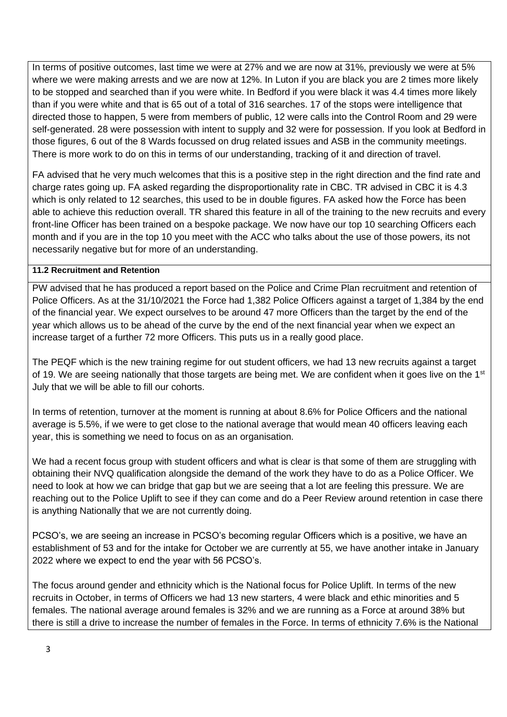In terms of positive outcomes, last time we were at 27% and we are now at 31%, previously we were at 5% where we were making arrests and we are now at 12%. In Luton if you are black you are 2 times more likely to be stopped and searched than if you were white. In Bedford if you were black it was 4.4 times more likely than if you were white and that is 65 out of a total of 316 searches. 17 of the stops were intelligence that directed those to happen, 5 were from members of public, 12 were calls into the Control Room and 29 were self-generated. 28 were possession with intent to supply and 32 were for possession. If you look at Bedford in those figures, 6 out of the 8 Wards focussed on drug related issues and ASB in the community meetings. There is more work to do on this in terms of our understanding, tracking of it and direction of travel.

FA advised that he very much welcomes that this is a positive step in the right direction and the find rate and charge rates going up. FA asked regarding the disproportionality rate in CBC. TR advised in CBC it is 4.3 which is only related to 12 searches, this used to be in double figures. FA asked how the Force has been able to achieve this reduction overall. TR shared this feature in all of the training to the new recruits and every front-line Officer has been trained on a bespoke package. We now have our top 10 searching Officers each month and if you are in the top 10 you meet with the ACC who talks about the use of those powers, its not necessarily negative but for more of an understanding.

#### **11.2 Recruitment and Retention**

PW advised that he has produced a report based on the Police and Crime Plan recruitment and retention of Police Officers. As at the 31/10/2021 the Force had 1,382 Police Officers against a target of 1,384 by the end of the financial year. We expect ourselves to be around 47 more Officers than the target by the end of the year which allows us to be ahead of the curve by the end of the next financial year when we expect an increase target of a further 72 more Officers. This puts us in a really good place.

The PEQF which is the new training regime for out student officers, we had 13 new recruits against a target of 19. We are seeing nationally that those targets are being met. We are confident when it goes live on the 1st July that we will be able to fill our cohorts.

In terms of retention, turnover at the moment is running at about 8.6% for Police Officers and the national average is 5.5%, if we were to get close to the national average that would mean 40 officers leaving each year, this is something we need to focus on as an organisation.

We had a recent focus group with student officers and what is clear is that some of them are struggling with obtaining their NVQ qualification alongside the demand of the work they have to do as a Police Officer. We need to look at how we can bridge that gap but we are seeing that a lot are feeling this pressure. We are reaching out to the Police Uplift to see if they can come and do a Peer Review around retention in case there is anything Nationally that we are not currently doing.

PCSO's, we are seeing an increase in PCSO's becoming regular Officers which is a positive, we have an establishment of 53 and for the intake for October we are currently at 55, we have another intake in January 2022 where we expect to end the year with 56 PCSO's.

The focus around gender and ethnicity which is the National focus for Police Uplift. In terms of the new recruits in October, in terms of Officers we had 13 new starters, 4 were black and ethic minorities and 5 females. The national average around females is 32% and we are running as a Force at around 38% but there is still a drive to increase the number of females in the Force. In terms of ethnicity 7.6% is the National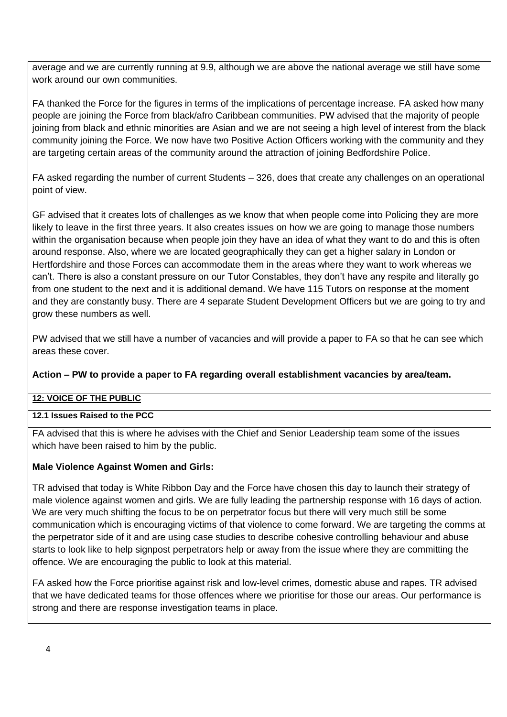average and we are currently running at 9.9, although we are above the national average we still have some work around our own communities.

FA thanked the Force for the figures in terms of the implications of percentage increase. FA asked how many people are joining the Force from black/afro Caribbean communities. PW advised that the majority of people joining from black and ethnic minorities are Asian and we are not seeing a high level of interest from the black community joining the Force. We now have two Positive Action Officers working with the community and they are targeting certain areas of the community around the attraction of joining Bedfordshire Police.

FA asked regarding the number of current Students – 326, does that create any challenges on an operational point of view.

GF advised that it creates lots of challenges as we know that when people come into Policing they are more likely to leave in the first three years. It also creates issues on how we are going to manage those numbers within the organisation because when people join they have an idea of what they want to do and this is often around response. Also, where we are located geographically they can get a higher salary in London or Hertfordshire and those Forces can accommodate them in the areas where they want to work whereas we can't. There is also a constant pressure on our Tutor Constables, they don't have any respite and literally go from one student to the next and it is additional demand. We have 115 Tutors on response at the moment and they are constantly busy. There are 4 separate Student Development Officers but we are going to try and grow these numbers as well.

PW advised that we still have a number of vacancies and will provide a paper to FA so that he can see which areas these cover.

## **Action – PW to provide a paper to FA regarding overall establishment vacancies by area/team.**

## **12: VOICE OF THE PUBLIC**

## **12.1 Issues Raised to the PCC**

FA advised that this is where he advises with the Chief and Senior Leadership team some of the issues which have been raised to him by the public.

## **Male Violence Against Women and Girls:**

TR advised that today is White Ribbon Day and the Force have chosen this day to launch their strategy of male violence against women and girls. We are fully leading the partnership response with 16 days of action. We are very much shifting the focus to be on perpetrator focus but there will very much still be some communication which is encouraging victims of that violence to come forward. We are targeting the comms at the perpetrator side of it and are using case studies to describe cohesive controlling behaviour and abuse starts to look like to help signpost perpetrators help or away from the issue where they are committing the offence. We are encouraging the public to look at this material.

FA asked how the Force prioritise against risk and low-level crimes, domestic abuse and rapes. TR advised that we have dedicated teams for those offences where we prioritise for those our areas. Our performance is strong and there are response investigation teams in place.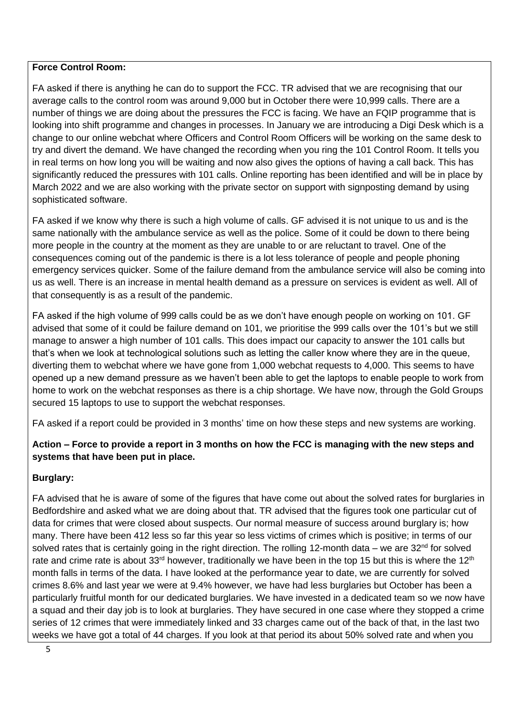#### **Force Control Room:**

FA asked if there is anything he can do to support the FCC. TR advised that we are recognising that our average calls to the control room was around 9,000 but in October there were 10,999 calls. There are a number of things we are doing about the pressures the FCC is facing. We have an FQIP programme that is looking into shift programme and changes in processes. In January we are introducing a Digi Desk which is a change to our online webchat where Officers and Control Room Officers will be working on the same desk to try and divert the demand. We have changed the recording when you ring the 101 Control Room. It tells you in real terms on how long you will be waiting and now also gives the options of having a call back. This has significantly reduced the pressures with 101 calls. Online reporting has been identified and will be in place by March 2022 and we are also working with the private sector on support with signposting demand by using sophisticated software.

FA asked if we know why there is such a high volume of calls. GF advised it is not unique to us and is the same nationally with the ambulance service as well as the police. Some of it could be down to there being more people in the country at the moment as they are unable to or are reluctant to travel. One of the consequences coming out of the pandemic is there is a lot less tolerance of people and people phoning emergency services quicker. Some of the failure demand from the ambulance service will also be coming into us as well. There is an increase in mental health demand as a pressure on services is evident as well. All of that consequently is as a result of the pandemic.

FA asked if the high volume of 999 calls could be as we don't have enough people on working on 101. GF advised that some of it could be failure demand on 101, we prioritise the 999 calls over the 101's but we still manage to answer a high number of 101 calls. This does impact our capacity to answer the 101 calls but that's when we look at technological solutions such as letting the caller know where they are in the queue, diverting them to webchat where we have gone from 1,000 webchat requests to 4,000. This seems to have opened up a new demand pressure as we haven't been able to get the laptops to enable people to work from home to work on the webchat responses as there is a chip shortage. We have now, through the Gold Groups secured 15 laptops to use to support the webchat responses.

FA asked if a report could be provided in 3 months' time on how these steps and new systems are working.

**Action – Force to provide a report in 3 months on how the FCC is managing with the new steps and systems that have been put in place.**

# **Burglary:**

FA advised that he is aware of some of the figures that have come out about the solved rates for burglaries in Bedfordshire and asked what we are doing about that. TR advised that the figures took one particular cut of data for crimes that were closed about suspects. Our normal measure of success around burglary is; how many. There have been 412 less so far this year so less victims of crimes which is positive; in terms of our solved rates that is certainly going in the right direction. The rolling 12-month data – we are  $32^{\text{nd}}$  for solved rate and crime rate is about 33<sup>rd</sup> however, traditionally we have been in the top 15 but this is where the 12<sup>th</sup> month falls in terms of the data. I have looked at the performance year to date, we are currently for solved crimes 8.6% and last year we were at 9.4% however, we have had less burglaries but October has been a particularly fruitful month for our dedicated burglaries. We have invested in a dedicated team so we now have a squad and their day job is to look at burglaries. They have secured in one case where they stopped a crime series of 12 crimes that were immediately linked and 33 charges came out of the back of that, in the last two weeks we have got a total of 44 charges. If you look at that period its about 50% solved rate and when you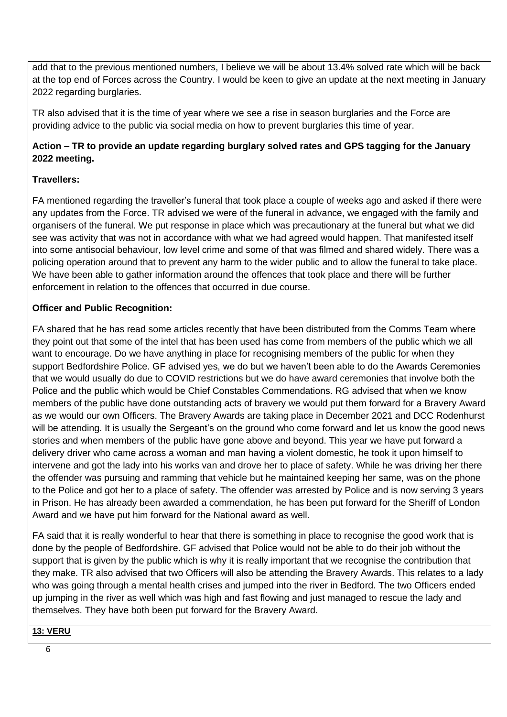add that to the previous mentioned numbers, I believe we will be about 13.4% solved rate which will be back at the top end of Forces across the Country. I would be keen to give an update at the next meeting in January 2022 regarding burglaries.

TR also advised that it is the time of year where we see a rise in season burglaries and the Force are providing advice to the public via social media on how to prevent burglaries this time of year.

# **Action – TR to provide an update regarding burglary solved rates and GPS tagging for the January 2022 meeting.**

# **Travellers:**

FA mentioned regarding the traveller's funeral that took place a couple of weeks ago and asked if there were any updates from the Force. TR advised we were of the funeral in advance, we engaged with the family and organisers of the funeral. We put response in place which was precautionary at the funeral but what we did see was activity that was not in accordance with what we had agreed would happen. That manifested itself into some antisocial behaviour, low level crime and some of that was filmed and shared widely. There was a policing operation around that to prevent any harm to the wider public and to allow the funeral to take place. We have been able to gather information around the offences that took place and there will be further enforcement in relation to the offences that occurred in due course.

# **Officer and Public Recognition:**

FA shared that he has read some articles recently that have been distributed from the Comms Team where they point out that some of the intel that has been used has come from members of the public which we all want to encourage. Do we have anything in place for recognising members of the public for when they support Bedfordshire Police. GF advised yes, we do but we haven't been able to do the Awards Ceremonies that we would usually do due to COVID restrictions but we do have award ceremonies that involve both the Police and the public which would be Chief Constables Commendations. RG advised that when we know members of the public have done outstanding acts of bravery we would put them forward for a Bravery Award as we would our own Officers. The Bravery Awards are taking place in December 2021 and DCC Rodenhurst will be attending. It is usually the Sergeant's on the ground who come forward and let us know the good news stories and when members of the public have gone above and beyond. This year we have put forward a delivery driver who came across a woman and man having a violent domestic, he took it upon himself to intervene and got the lady into his works van and drove her to place of safety. While he was driving her there the offender was pursuing and ramming that vehicle but he maintained keeping her same, was on the phone to the Police and got her to a place of safety. The offender was arrested by Police and is now serving 3 years in Prison. He has already been awarded a commendation, he has been put forward for the Sheriff of London Award and we have put him forward for the National award as well.

FA said that it is really wonderful to hear that there is something in place to recognise the good work that is done by the people of Bedfordshire. GF advised that Police would not be able to do their job without the support that is given by the public which is why it is really important that we recognise the contribution that they make. TR also advised that two Officers will also be attending the Bravery Awards. This relates to a lady who was going through a mental health crises and jumped into the river in Bedford. The two Officers ended up jumping in the river as well which was high and fast flowing and just managed to rescue the lady and themselves. They have both been put forward for the Bravery Award.

## **13: VERU**